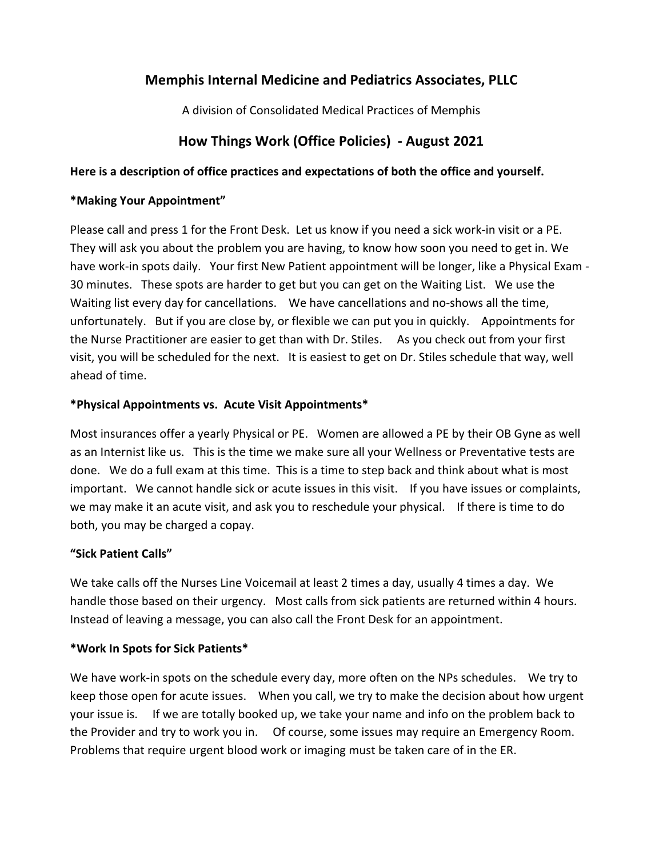# **Memphis Internal Medicine and Pediatrics Associates, PLLC**

A division of Consolidated Medical Practices of Memphis

# **How Things Work (Office Policies) - August 2021**

#### **Here is a description of office practices and expectations of both the office and yourself.**

#### **\*Making Your Appointment"**

Please call and press 1 for the Front Desk. Let us know if you need a sick work-in visit or a PE. They will ask you about the problem you are having, to know how soon you need to get in. We have work-in spots daily. Your first New Patient appointment will be longer, like a Physical Exam - 30 minutes. These spots are harder to get but you can get on the Waiting List. We use the Waiting list every day for cancellations. We have cancellations and no-shows all the time, unfortunately. But if you are close by, or flexible we can put you in quickly. Appointments for the Nurse Practitioner are easier to get than with Dr. Stiles. As you check out from your first visit, you will be scheduled for the next. It is easiest to get on Dr. Stiles schedule that way, well ahead of time.

### **\*Physical Appointments vs. Acute Visit Appointments\***

Most insurances offer a yearly Physical or PE. Women are allowed a PE by their OB Gyne as well as an Internist like us. This is the time we make sure all your Wellness or Preventative tests are done. We do a full exam at this time. This is a time to step back and think about what is most important. We cannot handle sick or acute issues in this visit. If you have issues or complaints, we may make it an acute visit, and ask you to reschedule your physical. If there is time to do both, you may be charged a copay.

# **"Sick Patient Calls"**

We take calls off the Nurses Line Voicemail at least 2 times a day, usually 4 times a day. We handle those based on their urgency. Most calls from sick patients are returned within 4 hours. Instead of leaving a message, you can also call the Front Desk for an appointment.

# **\*Work In Spots for Sick Patients\***

We have work-in spots on the schedule every day, more often on the NPs schedules. We try to keep those open for acute issues. When you call, we try to make the decision about how urgent your issue is. If we are totally booked up, we take your name and info on the problem back to the Provider and try to work you in. Of course, some issues may require an Emergency Room. Problems that require urgent blood work or imaging must be taken care of in the ER.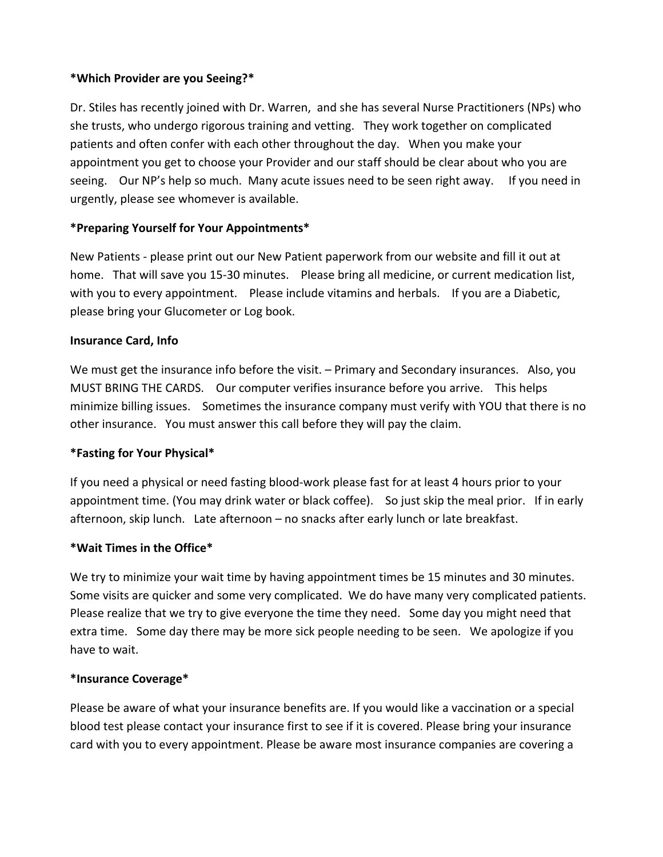#### **\*Which Provider are you Seeing?\***

Dr. Stiles has recently joined with Dr. Warren, and she has several Nurse Practitioners (NPs) who she trusts, who undergo rigorous training and vetting. They work together on complicated patients and often confer with each other throughout the day. When you make your appointment you get to choose your Provider and our staff should be clear about who you are seeing. Our NP's help so much. Many acute issues need to be seen right away. If you need in urgently, please see whomever is available.

### **\*Preparing Yourself for Your Appointments\***

New Patients - please print out our New Patient paperwork from our website and fill it out at home. That will save you 15-30 minutes. Please bring all medicine, or current medication list, with you to every appointment. Please include vitamins and herbals. If you are a Diabetic, please bring your Glucometer or Log book.

#### **Insurance Card, Info**

We must get the insurance info before the visit. – Primary and Secondary insurances. Also, you MUST BRING THE CARDS. Our computer verifies insurance before you arrive. This helps minimize billing issues. Sometimes the insurance company must verify with YOU that there is no other insurance. You must answer this call before they will pay the claim.

#### **\*Fasting for Your Physical\***

If you need a physical or need fasting blood-work please fast for at least 4 hours prior to your appointment time. (You may drink water or black coffee). So just skip the meal prior. If in early afternoon, skip lunch. Late afternoon – no snacks after early lunch or late breakfast.

#### **\*Wait Times in the Office\***

We try to minimize your wait time by having appointment times be 15 minutes and 30 minutes. Some visits are quicker and some very complicated. We do have many very complicated patients. Please realize that we try to give everyone the time they need. Some day you might need that extra time. Some day there may be more sick people needing to be seen. We apologize if you have to wait.

#### **\*Insurance Coverage\***

Please be aware of what your insurance benefits are. If you would like a vaccination or a special blood test please contact your insurance first to see if it is covered. Please bring your insurance card with you to every appointment. Please be aware most insurance companies are covering a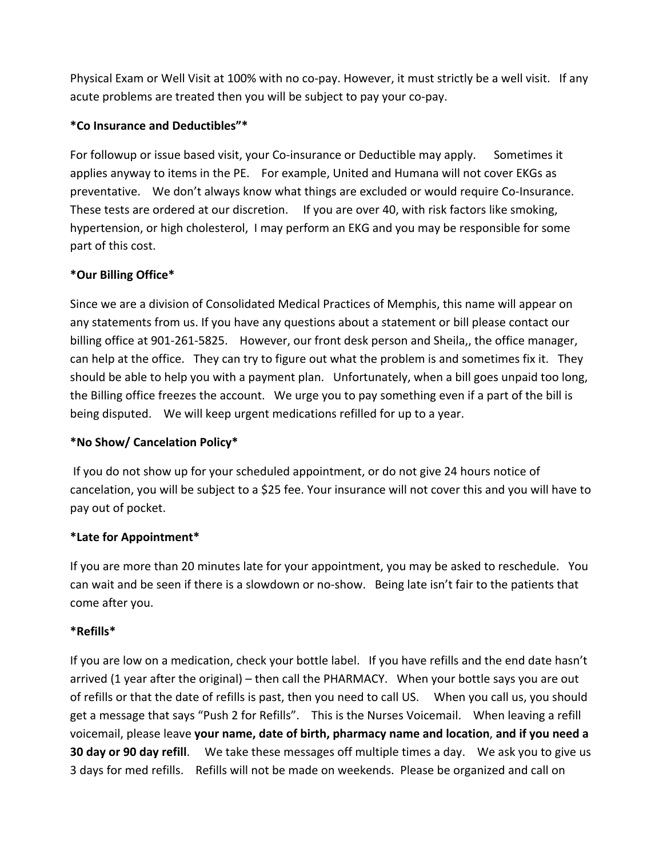Physical Exam or Well Visit at 100% with no co-pay. However, it must strictly be a well visit. If any acute problems are treated then you will be subject to pay your co-pay.

#### **\*Co Insurance and Deductibles"\***

For followup or issue based visit, your Co-insurance or Deductible may apply. Sometimes it applies anyway to items in the PE. For example, United and Humana will not cover EKGs as preventative. We don't always know what things are excluded or would require Co-Insurance. These tests are ordered at our discretion. If you are over 40, with risk factors like smoking, hypertension, or high cholesterol, I may perform an EKG and you may be responsible for some part of this cost.

### **\*Our Billing Office\***

Since we are a division of Consolidated Medical Practices of Memphis, this name will appear on any statements from us. If you have any questions about a statement or bill please contact our billing office at 901-261-5825. However, our front desk person and Sheila,, the office manager, can help at the office. They can try to figure out what the problem is and sometimes fix it. They should be able to help you with a payment plan. Unfortunately, when a bill goes unpaid too long, the Billing office freezes the account. We urge you to pay something even if a part of the bill is being disputed. We will keep urgent medications refilled for up to a year.

# **\*No Show/ Cancelation Policy\***

 If you do not show up for your scheduled appointment, or do not give 24 hours notice of cancelation, you will be subject to a \$25 fee. Your insurance will not cover this and you will have to pay out of pocket.

#### **\*Late for Appointment\***

If you are more than 20 minutes late for your appointment, you may be asked to reschedule. You can wait and be seen if there is a slowdown or no-show. Being late isn't fair to the patients that come after you.

#### **\*Refills\***

If you are low on a medication, check your bottle label. If you have refills and the end date hasn't arrived (1 year after the original) – then call the PHARMACY. When your bottle says you are out of refills or that the date of refills is past, then you need to call US. When you call us, you should get a message that says "Push 2 for Refills". This is the Nurses Voicemail. When leaving a refill voicemail, please leave **your name, date of birth, pharmacy name and location**, **and if you need a 30 day or 90 day refill**. We take these messages off multiple times a day. We ask you to give us 3 days for med refills. Refills will not be made on weekends. Please be organized and call on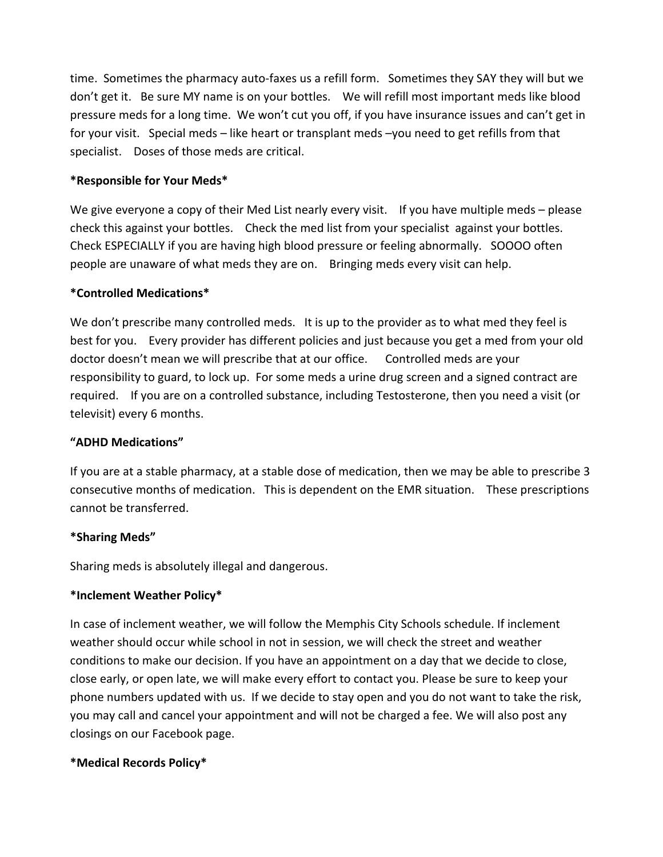time. Sometimes the pharmacy auto-faxes us a refill form. Sometimes they SAY they will but we don't get it. Be sure MY name is on your bottles. We will refill most important meds like blood pressure meds for a long time. We won't cut you off, if you have insurance issues and can't get in for your visit. Special meds – like heart or transplant meds –you need to get refills from that specialist. Doses of those meds are critical.

#### **\*Responsible for Your Meds\***

We give everyone a copy of their Med List nearly every visit. If you have multiple meds – please check this against your bottles. Check the med list from your specialist against your bottles. Check ESPECIALLY if you are having high blood pressure or feeling abnormally. SOOOO often people are unaware of what meds they are on. Bringing meds every visit can help.

#### **\*Controlled Medications\***

We don't prescribe many controlled meds. It is up to the provider as to what med they feel is best for you. Every provider has different policies and just because you get a med from your old doctor doesn't mean we will prescribe that at our office. Controlled meds are your responsibility to guard, to lock up. For some meds a urine drug screen and a signed contract are required. If you are on a controlled substance, including Testosterone, then you need a visit (or televisit) every 6 months.

#### **"ADHD Medications"**

If you are at a stable pharmacy, at a stable dose of medication, then we may be able to prescribe 3 consecutive months of medication. This is dependent on the EMR situation. These prescriptions cannot be transferred.

#### **\*Sharing Meds"**

Sharing meds is absolutely illegal and dangerous.

#### **\*Inclement Weather Policy\***

In case of inclement weather, we will follow the Memphis City Schools schedule. If inclement weather should occur while school in not in session, we will check the street and weather conditions to make our decision. If you have an appointment on a day that we decide to close, close early, or open late, we will make every effort to contact you. Please be sure to keep your phone numbers updated with us. If we decide to stay open and you do not want to take the risk, you may call and cancel your appointment and will not be charged a fee. We will also post any closings on our Facebook page.

#### **\*Medical Records Policy\***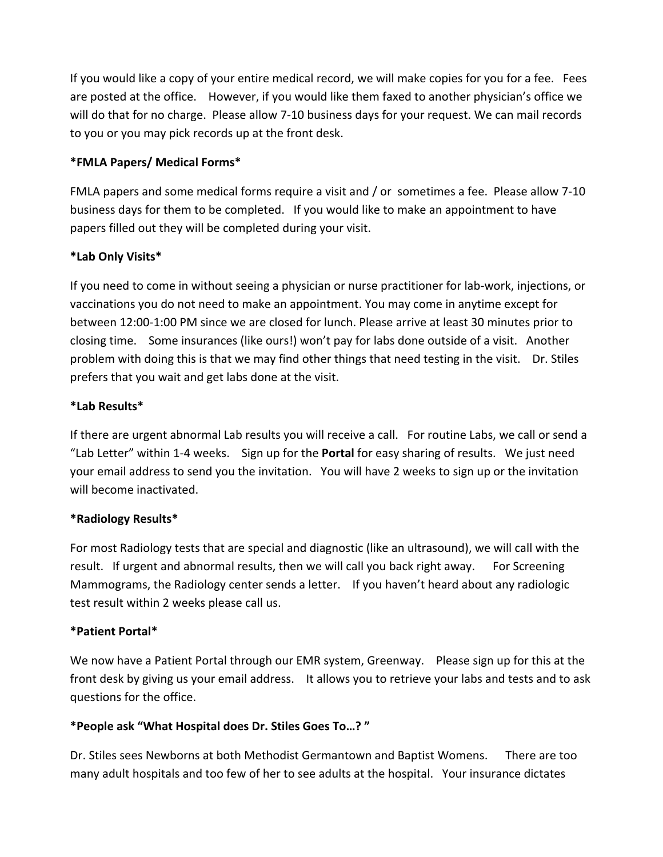If you would like a copy of your entire medical record, we will make copies for you for a fee. Fees are posted at the office. However, if you would like them faxed to another physician's office we will do that for no charge. Please allow 7-10 business days for your request. We can mail records to you or you may pick records up at the front desk.

#### **\*FMLA Papers/ Medical Forms\***

FMLA papers and some medical forms require a visit and / or sometimes a fee. Please allow 7-10 business days for them to be completed. If you would like to make an appointment to have papers filled out they will be completed during your visit.

# **\*Lab Only Visits\***

If you need to come in without seeing a physician or nurse practitioner for lab-work, injections, or vaccinations you do not need to make an appointment. You may come in anytime except for between 12:00-1:00 PM since we are closed for lunch. Please arrive at least 30 minutes prior to closing time. Some insurances (like ours!) won't pay for labs done outside of a visit. Another problem with doing this is that we may find other things that need testing in the visit. Dr. Stiles prefers that you wait and get labs done at the visit.

### **\*Lab Results\***

If there are urgent abnormal Lab results you will receive a call. For routine Labs, we call or send a "Lab Letter" within 1-4 weeks. Sign up for the **Portal** for easy sharing of results. We just need your email address to send you the invitation. You will have 2 weeks to sign up or the invitation will become inactivated.

#### **\*Radiology Results\***

For most Radiology tests that are special and diagnostic (like an ultrasound), we will call with the result. If urgent and abnormal results, then we will call you back right away. For Screening Mammograms, the Radiology center sends a letter. If you haven't heard about any radiologic test result within 2 weeks please call us.

#### **\*Patient Portal\***

We now have a Patient Portal through our EMR system, Greenway. Please sign up for this at the front desk by giving us your email address. It allows you to retrieve your labs and tests and to ask questions for the office.

#### **\*People ask "What Hospital does Dr. Stiles Goes To…? "**

Dr. Stiles sees Newborns at both Methodist Germantown and Baptist Womens. There are too many adult hospitals and too few of her to see adults at the hospital. Your insurance dictates